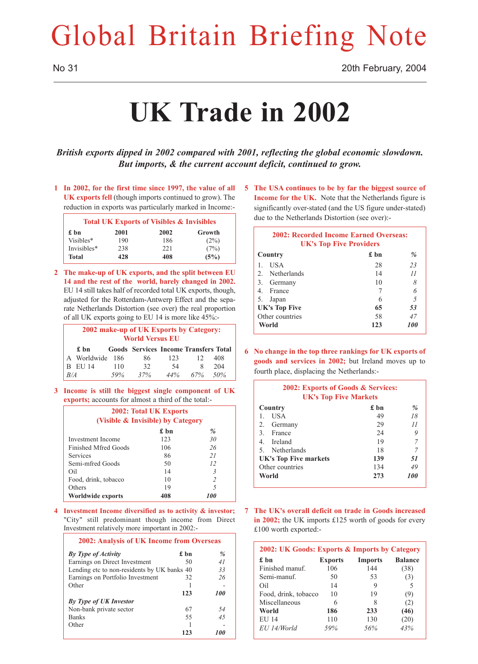# Global Britain Briefing Note

No 31 20th February, 2004

# **UK Trade in 2002**

*British exports dipped in 2002 compared with 2001, reflecting the global economic slowdown. But imports, & the current account deficit, continued to grow.*

**1 In 2002, for the first time since 1997, the value of all UK exports fell** (though imports continued to grow). The reduction in exports was particularly marked in Income:-

|              |      | <b>Total UK Exports of Visibles &amp; Invisibles</b> |        |
|--------------|------|------------------------------------------------------|--------|
| £ hn         | 2001 | 2002                                                 | Growth |
| Visibles*    | 190  | 186                                                  | (2%)   |
| Invisibles*  | 238  | 221                                                  | (7%)   |
| <b>Total</b> | 428  | 408                                                  | (5%)   |

**2 The make-up of UK exports, and the split between EU 14 and the rest of the world, barely changed in 2002.** EU 14 still takes half of recorded total UK exports, though, adjusted for the Rotterdam-Antwerp Effect and the separate Netherlands Distortion (see over) the real proportion of all UK exports going to EU 14 is more like 45%:-

| 2002 make-up of UK Exports by Category:<br><b>World Versus EU</b> |                 |     |                                              |     |     |     |
|-------------------------------------------------------------------|-----------------|-----|----------------------------------------------|-----|-----|-----|
|                                                                   | £ bn            |     | <b>Goods</b> Services Income Transfers Total |     |     |     |
|                                                                   | A Worldwide 186 |     | 86                                           | 123 | 12  | 408 |
|                                                                   | B EU 14         | 110 | 32                                           | -54 | 8   | 204 |
| B/A                                                               |                 | 59% | 37%                                          | 44% | 67% | 50% |

**3 Income is still the biggest single component of UK exports;** accounts for almost a third of the total:-

| 2002: Total UK Exports<br>(Visible & Invisible) by Category |              |                          |  |  |  |  |  |
|-------------------------------------------------------------|--------------|--------------------------|--|--|--|--|--|
|                                                             | £ bn<br>$\%$ |                          |  |  |  |  |  |
| Investment Income                                           | 123          | 30                       |  |  |  |  |  |
| Finished Mfred Goods                                        | 106          | 26                       |  |  |  |  |  |
| Services                                                    | 86           | 21                       |  |  |  |  |  |
| Semi-mfred Goods                                            | 50           | 12                       |  |  |  |  |  |
| Oil                                                         | 14           | 3                        |  |  |  |  |  |
| Food, drink, tobacco                                        | 10           | $\overline{\mathcal{L}}$ |  |  |  |  |  |
| Others                                                      | 19           | 5                        |  |  |  |  |  |
| Worldwide exports                                           | 408          | 100                      |  |  |  |  |  |

**4 Investment Income diversified as to activity & investor;** "City" still predominant though income from Direct Investment relatively more important in 2002:-

| 2002: Analysis of UK Income from Overseas   |      |     |  |  |  |
|---------------------------------------------|------|-----|--|--|--|
| By Type of Activity                         | £ hn | %   |  |  |  |
| Earnings on Direct Investment               | 50   | 41  |  |  |  |
| Lending etc to non-residents by UK banks 40 |      | 33  |  |  |  |
| Earnings on Portfolio Investment            | 32   | 26  |  |  |  |
| Other                                       |      |     |  |  |  |
|                                             | 123  | 100 |  |  |  |
| By Type of UK Investor                      |      |     |  |  |  |
| Non-bank private sector                     | 67   | 54  |  |  |  |
| <b>Banks</b>                                | 55   | 45  |  |  |  |
| Other                                       |      |     |  |  |  |
|                                             | 123  | 101 |  |  |  |

**5 The USA continues to be by far the biggest source of Income for the UK.** Note that the Netherlands figure is significantly over-stated (and the US figure under-stated) due to the Netherlands Distortion (see over):-

| <b>2002: Recorded Income Earned Overseas:</b><br><b>UK's Top Five Providers</b> |    |    |  |  |  |
|---------------------------------------------------------------------------------|----|----|--|--|--|
| £ bn<br>$\frac{0}{2}$<br>Country                                                |    |    |  |  |  |
| <b>USA</b><br>1.                                                                | 28 | 23 |  |  |  |
| 2. Netherlands                                                                  | 14 | 11 |  |  |  |
| Germany<br>3.                                                                   | 10 | 8  |  |  |  |
| 4. France                                                                       |    | 6  |  |  |  |
| Japan<br>5.                                                                     | 6  | 5  |  |  |  |
| <b>UK's Top Five</b><br>53<br>65                                                |    |    |  |  |  |
| Other countries<br>47<br>58                                                     |    |    |  |  |  |
| <i>100</i><br>World<br>123                                                      |    |    |  |  |  |

**6 No change in the top three rankings for UK exports of goods and services in 2002;** but Ireland moves up to fourth place, displacing the Netherlands:-

| 2002: Exports of Goods & Services:<br><b>UK's Top Five Markets</b> |    |    |  |  |  |
|--------------------------------------------------------------------|----|----|--|--|--|
| £ bn<br>$\%$<br>Country                                            |    |    |  |  |  |
| <b>USA</b><br>1                                                    | 49 | 18 |  |  |  |
| Germany<br>2.                                                      | 29 | 11 |  |  |  |
| France<br>3 <sub>1</sub>                                           | 24 | 9  |  |  |  |
| 4. Ireland                                                         | 19 | 7  |  |  |  |
| 5. Netherlands                                                     | 18 |    |  |  |  |
| 139<br><b>UK's Top Five markets</b><br>51                          |    |    |  |  |  |
| Other countries<br>134<br>49                                       |    |    |  |  |  |
| World<br>273<br><i>100</i>                                         |    |    |  |  |  |

**7 The UK's overall deficit on trade in Goods increased in 2002;** the UK imports £125 worth of goods for every £100 worth exported:-

| 2002: UK Goods: Exports & Imports by Category |                |                |                |  |  |  |
|-----------------------------------------------|----------------|----------------|----------------|--|--|--|
| £ bn                                          | <b>Exports</b> | <b>Imports</b> | <b>Balance</b> |  |  |  |
| Finished manuf.                               | 106            | 144            | (38)           |  |  |  |
| Semi-manuf.                                   | 50             | 53             | (3)            |  |  |  |
| Oil                                           | 14             | 9              |                |  |  |  |
| Food, drink, tobacco                          | 10             | 19             | (9)            |  |  |  |
| Miscellaneous                                 | 6              | 8              | (2)            |  |  |  |
| World                                         | 186            | 233            | (46)           |  |  |  |
| EU 14                                         | 110            | 130            | (20)           |  |  |  |
| EU 14/World                                   | 59%            | 56%            | 43%            |  |  |  |